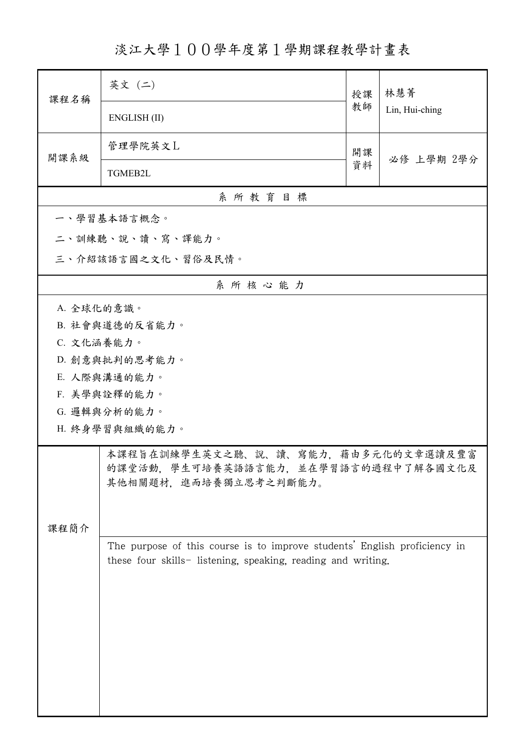淡江大學100學年度第1學期課程教學計畫表

| 課程名稱       | 英文 (二)                                                                                                                                    | 授課 | 林慧菁<br>Lin, Hui-ching |  |
|------------|-------------------------------------------------------------------------------------------------------------------------------------------|----|-----------------------|--|
|            | ENGLISH (II)                                                                                                                              | 教師 |                       |  |
| 開課系級       | 管理學院英文L                                                                                                                                   | 開課 | 必修 上學期 2學分            |  |
|            | TGMEB2L                                                                                                                                   | 資料 |                       |  |
| 系所教育目標     |                                                                                                                                           |    |                       |  |
|            | 一、學習基本語言概念。                                                                                                                               |    |                       |  |
|            | 二、訓練聽、說、讀、寫、譯能力。                                                                                                                          |    |                       |  |
|            | 三、介紹該語言國之文化、習俗及民情。                                                                                                                        |    |                       |  |
|            | 系所核心能力                                                                                                                                    |    |                       |  |
| A. 全球化的意識。 |                                                                                                                                           |    |                       |  |
|            | B. 社會與道德的反省能力。                                                                                                                            |    |                       |  |
| C. 文化涵養能力。 |                                                                                                                                           |    |                       |  |
|            | D. 創意與批判的思考能力。                                                                                                                            |    |                       |  |
|            | E. 人際與溝通的能力。                                                                                                                              |    |                       |  |
|            | F. 美學與詮釋的能力。                                                                                                                              |    |                       |  |
|            | G. 邏輯與分析的能力。                                                                                                                              |    |                       |  |
|            | H. 終身學習與組織的能力。                                                                                                                            |    |                       |  |
| 课程简介       | 本課程旨在訓練學生英文之聽、說、讀、寫能力,藉由多元化的文章選讀及豐富<br>的課堂活動,學生可培養英語語言能力,並在學習語言的過程中了解各國文化及<br>其他相關題材,進而培養獨立思考之判斷能力。                                       |    |                       |  |
|            | The purpose of this course is to improve students' English proficiency in<br>these four skills- listening, speaking, reading and writing. |    |                       |  |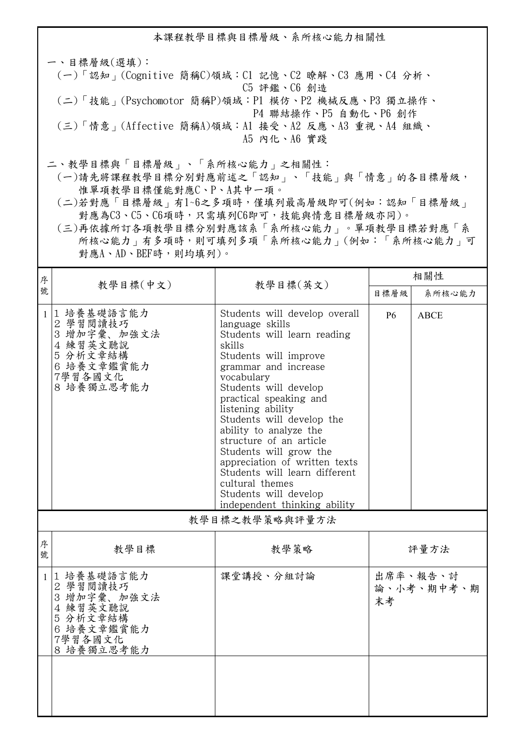本課程教學目標與目標層級、系所核心能力相關性

一、目標層級(選填): (一)「認知」(Cognitive 簡稱C)領域:C1 記憶、C2 瞭解、C3 應用、C4 分析、 C5 評鑑、C6 創造 (二)「技能」(Psychomotor 簡稱P)領域:P1 模仿、P2 機械反應、P3 獨立操作、 P4 聯結操作、P5 自動化、P6 創作 (三)「情意」(Affective 簡稱A)領域:A1 接受、A2 反應、A3 重視、A4 組織、 A5 內化、A6 實踐

二、教學目標與「目標層級」、「系所核心能力」之相關性:

 (一)請先將課程教學目標分別對應前述之「認知」、「技能」與「情意」的各目標層級, 惟單項教學目標僅能對應C、P、A其中一項。

 (二)若對應「目標層級」有1~6之多項時,僅填列最高層級即可(例如:認知「目標層級」 對應為C3、C5、C6項時,只需填列C6即可,技能與情意目標層級亦同)。

 (三)再依據所訂各項教學目標分別對應該系「系所核心能力」。單項教學目標若對應「系 所核心能力」有多項時,則可填列多項「系所核心能力」(例如:「系所核心能力」可 對應A、AD、BEF時,則均填列)。

| 序              |                                                                                                      |                                                                                                                                                                                                                                                                                                                                                                                                                                                                                            | 相關性                          |             |
|----------------|------------------------------------------------------------------------------------------------------|--------------------------------------------------------------------------------------------------------------------------------------------------------------------------------------------------------------------------------------------------------------------------------------------------------------------------------------------------------------------------------------------------------------------------------------------------------------------------------------------|------------------------------|-------------|
| 號              | 教學目標(中文)                                                                                             | 教學目標(英文)                                                                                                                                                                                                                                                                                                                                                                                                                                                                                   | 目標層級                         | 系所核心能力      |
| $\mathbf{1}$   | 1 培養基礎語言能力<br>2 學習閱讀技巧<br>3 增加字彙、加強文法<br>4 練習英文聽說<br>5 分析文章結構<br>6 培養文章鑑賞能力<br>7學習各國文化<br>8 培養獨立思考能力 | Students will develop overall<br>language skills<br>Students will learn reading<br>skills<br>Students will improve<br>grammar and increase<br>vocabulary<br>Students will develop<br>practical speaking and<br>listening ability<br>Students will develop the<br>ability to analyze the<br>structure of an article<br>Students will grow the<br>appreciation of written texts<br>Students will learn different<br>cultural themes<br>Students will develop<br>independent thinking ability | <b>P6</b>                    | <b>ABCE</b> |
| 教學目標之教學策略與評量方法 |                                                                                                      |                                                                                                                                                                                                                                                                                                                                                                                                                                                                                            |                              |             |
| 序<br>號         | 教學目標                                                                                                 | 教學策略                                                                                                                                                                                                                                                                                                                                                                                                                                                                                       |                              | 評量方法        |
| 1              | 1 培養基礎語言能力<br>2 學習閱讀技巧<br>3 增加字彙、加強文法<br>4 練習英文聽說<br>5 分析文章結構<br>6 培養文章鑑賞能力<br>7學習各國文化<br>8 培養獨立思考能力 | 課堂講授、分組討論                                                                                                                                                                                                                                                                                                                                                                                                                                                                                  | 出席率、報告、討<br>論、小考、期中考、期<br>末考 |             |
|                |                                                                                                      |                                                                                                                                                                                                                                                                                                                                                                                                                                                                                            |                              |             |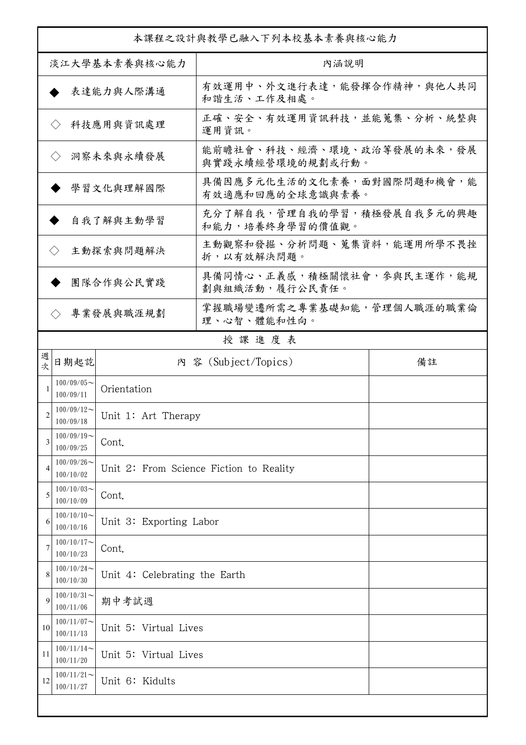| 本課程之設計與教學已融入下列本校基本素養與核心能力        |                            |                               |                                                |    |  |
|----------------------------------|----------------------------|-------------------------------|------------------------------------------------|----|--|
| 淡江大學基本素養與核心能力                    |                            |                               | 內涵說明                                           |    |  |
|                                  |                            | 表達能力與人際溝通                     | 有效運用中、外文進行表達,能發揮合作精神,與他人共同<br>和諧生活、工作及相處。      |    |  |
| 科技應用與資訊處理<br>$\langle \rangle$   |                            |                               | 正確、安全、有效運用資訊科技,並能蒐集、分析、統整與<br>運用資訊。            |    |  |
| 洞察未來與永續發展<br>$\langle \rangle$   |                            |                               | 能前瞻社會、科技、經濟、環境、政治等發展的未來,發展<br>與實踐永續經營環境的規劃或行動。 |    |  |
| 學習文化與理解國際                        |                            |                               | 具備因應多元化生活的文化素養,面對國際問題和機會,能<br>有效適應和回應的全球意識與素養。 |    |  |
| 自我了解與主動學習                        |                            |                               | 充分了解自我,管理自我的學習,積極發展自我多元的興趣<br>和能力,培養終身學習的價值觀。  |    |  |
| 主動探索與問題解決<br>$\langle \ \rangle$ |                            |                               | 主動觀察和發掘、分析問題、蒐集資料,能運用所學不畏挫<br>折,以有效解決問題。       |    |  |
|                                  |                            | 團隊合作與公民實踐                     | 具備同情心、正義感,積極關懷社會,參與民主運作,能規<br>劃與組織活動,履行公民責任。   |    |  |
|                                  | $\langle \rangle$          | 專業發展與職涯規劃                     | 掌握職場變遷所需之專業基礎知能,管理個人職涯的職業倫<br>理、心智、體能和性向。      |    |  |
|                                  |                            |                               | 授課進度表                                          |    |  |
| 週<br>次                           | 日期起訖                       |                               | 內 容 (Subject/Topics)                           | 備註 |  |
|                                  | $100/09/05$ ~<br>100/09/11 | Orientation                   |                                                |    |  |
| 2                                | $100/09/12$ ~<br>100/09/18 | Unit 1: Art Therapy           |                                                |    |  |
| 3                                | $100/09/19$ ~<br>100/09/25 | Cont.                         |                                                |    |  |
| 4                                | $100/09/26$ ~<br>100/10/02 |                               | Unit 2: From Science Fiction to Reality        |    |  |
| 5                                | $100/10/03$ ~<br>100/10/09 | Cont.                         |                                                |    |  |
| 6                                | $100/10/10$ ~<br>100/10/16 | Unit 3: Exporting Labor       |                                                |    |  |
| 7                                | $100/10/17$ ~<br>100/10/23 | Cont.                         |                                                |    |  |
| 8                                | $100/10/24$ ~<br>100/10/30 | Unit 4: Celebrating the Earth |                                                |    |  |
| 9                                | $100/10/31$ ~<br>100/11/06 | 期中考試週                         |                                                |    |  |
| 10                               | $100/11/07$ ~<br>100/11/13 | Unit 5: Virtual Lives         |                                                |    |  |
| 11                               | $100/11/14$ ~<br>100/11/20 | Unit 5: Virtual Lives         |                                                |    |  |
| 12                               | $100/11/21$ ~<br>100/11/27 | Unit 6: Kidults               |                                                |    |  |
|                                  |                            |                               |                                                |    |  |